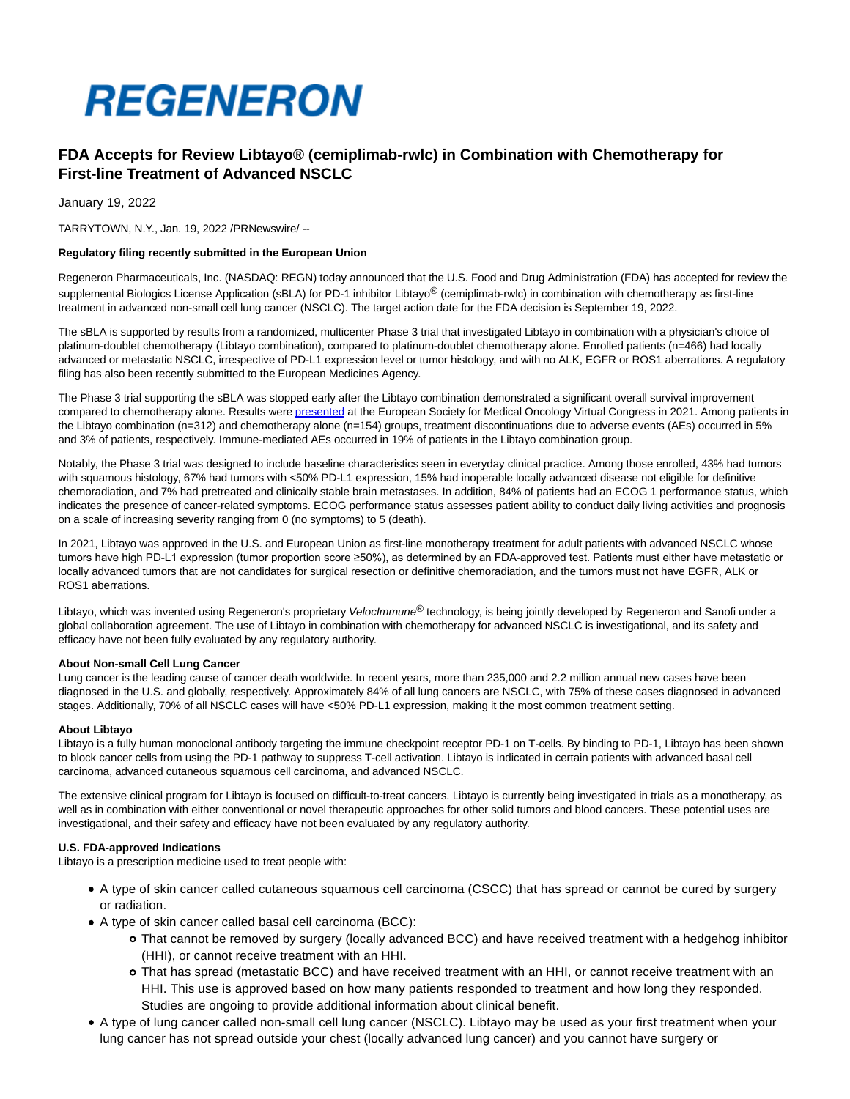

# **FDA Accepts for Review Libtayo® (cemiplimab-rwlc) in Combination with Chemotherapy for First-line Treatment of Advanced NSCLC**

January 19, 2022

TARRYTOWN, N.Y., Jan. 19, 2022 /PRNewswire/ --

## **Regulatory filing recently submitted in the European Union**

Regeneron Pharmaceuticals, Inc. (NASDAQ: REGN) today announced that the U.S. Food and Drug Administration (FDA) has accepted for review the supplemental Biologics License Application (sBLA) for PD-1 inhibitor Libtayo<sup>®</sup> (cemiplimab-rwlc) in combination with chemotherapy as first-line treatment in advanced non-small cell lung cancer (NSCLC). The target action date for the FDA decision is September 19, 2022.

The sBLA is supported by results from a randomized, multicenter Phase 3 trial that investigated Libtayo in combination with a physician's choice of platinum-doublet chemotherapy (Libtayo combination), compared to platinum-doublet chemotherapy alone. Enrolled patients (n=466) had locally advanced or metastatic NSCLC, irrespective of PD-L1 expression level or tumor histology, and with no ALK, EGFR or ROS1 aberrations. A regulatory filing has also been recently submitted to the European Medicines Agency.

The Phase 3 trial supporting the sBLA was stopped early after the Libtayo combination demonstrated a significant overall survival improvement compared to chemotherapy alone. Results were [presented a](https://c212.net/c/link/?t=0&l=en&o=3417003-1&h=1234252682&u=https%3A%2F%2Finvestor.regeneron.com%2Fnews-releases%2Fnews-release-details%2Fesmo-late-breaking-data-show-libtayor-cemiplimab-and&a=presented)t the European Society for Medical Oncology Virtual Congress in 2021. Among patients in the Libtayo combination (n=312) and chemotherapy alone (n=154) groups, treatment discontinuations due to adverse events (AEs) occurred in 5% and 3% of patients, respectively. Immune-mediated AEs occurred in 19% of patients in the Libtayo combination group.

Notably, the Phase 3 trial was designed to include baseline characteristics seen in everyday clinical practice. Among those enrolled, 43% had tumors with squamous histology, 67% had tumors with <50% PD-L1 expression, 15% had inoperable locally advanced disease not eligible for definitive chemoradiation, and 7% had pretreated and clinically stable brain metastases. In addition, 84% of patients had an ECOG 1 performance status, which indicates the presence of cancer-related symptoms. ECOG performance status assesses patient ability to conduct daily living activities and prognosis on a scale of increasing severity ranging from 0 (no symptoms) to 5 (death).

In 2021, Libtayo was approved in the U.S. and European Union as first-line monotherapy treatment for adult patients with advanced NSCLC whose tumors have high PD-L1 expression (tumor proportion score ≥50%), as determined by an FDA-approved test. Patients must either have metastatic or locally advanced tumors that are not candidates for surgical resection or definitive chemoradiation, and the tumors must not have EGFR, ALK or ROS1 aberrations.

Libtayo, which was invented using Regeneron's proprietary Veloclmmune® technology, is being jointly developed by Regeneron and Sanofi under a global collaboration agreement. The use of Libtayo in combination with chemotherapy for advanced NSCLC is investigational, and its safety and efficacy have not been fully evaluated by any regulatory authority.

#### **About Non-small Cell Lung Cancer**

Lung cancer is the leading cause of cancer death worldwide. In recent years, more than 235,000 and 2.2 million annual new cases have been diagnosed in the U.S. and globally, respectively. Approximately 84% of all lung cancers are NSCLC, with 75% of these cases diagnosed in advanced stages. Additionally, 70% of all NSCLC cases will have <50% PD-L1 expression, making it the most common treatment setting.

## **About Libtayo**

Libtayo is a fully human monoclonal antibody targeting the immune checkpoint receptor PD-1 on T-cells. By binding to PD-1, Libtayo has been shown to block cancer cells from using the PD-1 pathway to suppress T-cell activation. Libtayo is indicated in certain patients with advanced basal cell carcinoma, advanced cutaneous squamous cell carcinoma, and advanced NSCLC.

The extensive clinical program for Libtayo is focused on difficult-to-treat cancers. Libtayo is currently being investigated in trials as a monotherapy, as well as in combination with either conventional or novel therapeutic approaches for other solid tumors and blood cancers. These potential uses are investigational, and their safety and efficacy have not been evaluated by any regulatory authority.

# **U.S. FDA-approved Indications**

Libtayo is a prescription medicine used to treat people with:

- A type of skin cancer called cutaneous squamous cell carcinoma (CSCC) that has spread or cannot be cured by surgery or radiation.
- A type of skin cancer called basal cell carcinoma (BCC):
	- That cannot be removed by surgery (locally advanced BCC) and have received treatment with a hedgehog inhibitor (HHI), or cannot receive treatment with an HHI.
	- That has spread (metastatic BCC) and have received treatment with an HHI, or cannot receive treatment with an HHI. This use is approved based on how many patients responded to treatment and how long they responded. Studies are ongoing to provide additional information about clinical benefit.
- A type of lung cancer called non-small cell lung cancer (NSCLC). Libtayo may be used as your first treatment when your lung cancer has not spread outside your chest (locally advanced lung cancer) and you cannot have surgery or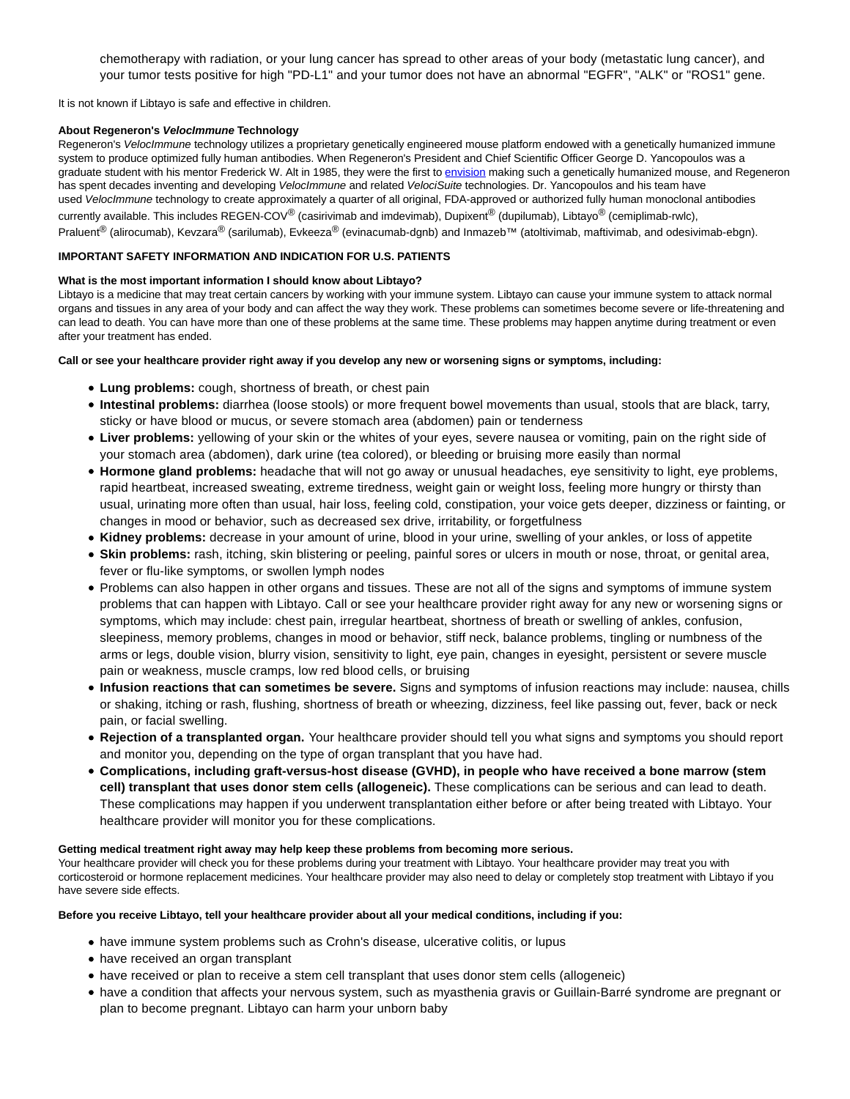chemotherapy with radiation, or your lung cancer has spread to other areas of your body (metastatic lung cancer), and your tumor tests positive for high "PD-L1" and your tumor does not have an abnormal "EGFR", "ALK" or "ROS1" gene.

It is not known if Libtayo is safe and effective in children.

# **About Regeneron's VelocImmune Technology**

Regeneron's VelocImmune technology utilizes a proprietary genetically engineered mouse platform endowed with a genetically humanized immune system to produce optimized fully human antibodies. When Regeneron's President and Chief Scientific Officer George D. Yancopoulos was a graduate student with his mentor Frederick W. Alt in 1985, they were the first to [envision m](https://c212.net/c/link/?t=0&l=en&o=3417003-1&h=2928948579&u=https%3A%2F%2Fc212.net%2Fc%2Flink%2F%3Ft%3D0%26l%3Den%26o%3D3387026-1%26h%3D1560991416%26u%3Dhttps%253A%252F%252Fwww.sciencedirect.com%252Fscience%252Farticle%252Fabs%252Fpii%252F0168952585900897%26a%3Denvision&a=envision)aking such a genetically humanized mouse, and Regeneron has spent decades inventing and developing VelocImmune and related VelociSuite technologies. Dr. Yancopoulos and his team have used VelocImmune technology to create approximately a quarter of all original, FDA-approved or authorized fully human monoclonal antibodies currently available. This includes REGEN-COV® (casirivimab and imdevimab), Dupixent® (dupilumab), Libtayo® (cemiplimab-rwlc), Praluent<sup>®</sup> (alirocumab), Kevzara<sup>®</sup> (sarilumab), Evkeeza® (evinacumab-dgnb) and Inmazeb™ (atoltivimab, maftivimab, and odesivimab-ebgn).

# **IMPORTANT SAFETY INFORMATION AND INDICATION FOR U.S. PATIENTS**

# **What is the most important information I should know about Libtayo?**

Libtayo is a medicine that may treat certain cancers by working with your immune system. Libtayo can cause your immune system to attack normal organs and tissues in any area of your body and can affect the way they work. These problems can sometimes become severe or life-threatening and can lead to death. You can have more than one of these problems at the same time. These problems may happen anytime during treatment or even after your treatment has ended.

# **Call or see your healthcare provider right away if you develop any new or worsening signs or symptoms, including:**

- **Lung problems:** cough, shortness of breath, or chest pain
- **Intestinal problems:** diarrhea (loose stools) or more frequent bowel movements than usual, stools that are black, tarry, sticky or have blood or mucus, or severe stomach area (abdomen) pain or tenderness
- **Liver problems:** yellowing of your skin or the whites of your eyes, severe nausea or vomiting, pain on the right side of your stomach area (abdomen), dark urine (tea colored), or bleeding or bruising more easily than normal
- **Hormone gland problems:** headache that will not go away or unusual headaches, eye sensitivity to light, eye problems, rapid heartbeat, increased sweating, extreme tiredness, weight gain or weight loss, feeling more hungry or thirsty than usual, urinating more often than usual, hair loss, feeling cold, constipation, your voice gets deeper, dizziness or fainting, or changes in mood or behavior, such as decreased sex drive, irritability, or forgetfulness
- **Kidney problems:** decrease in your amount of urine, blood in your urine, swelling of your ankles, or loss of appetite
- **Skin problems:** rash, itching, skin blistering or peeling, painful sores or ulcers in mouth or nose, throat, or genital area, fever or flu-like symptoms, or swollen lymph nodes
- Problems can also happen in other organs and tissues. These are not all of the signs and symptoms of immune system problems that can happen with Libtayo. Call or see your healthcare provider right away for any new or worsening signs or symptoms, which may include: chest pain, irregular heartbeat, shortness of breath or swelling of ankles, confusion, sleepiness, memory problems, changes in mood or behavior, stiff neck, balance problems, tingling or numbness of the arms or legs, double vision, blurry vision, sensitivity to light, eye pain, changes in eyesight, persistent or severe muscle pain or weakness, muscle cramps, low red blood cells, or bruising
- **Infusion reactions that can sometimes be severe.** Signs and symptoms of infusion reactions may include: nausea, chills or shaking, itching or rash, flushing, shortness of breath or wheezing, dizziness, feel like passing out, fever, back or neck pain, or facial swelling.
- **Rejection of a transplanted organ.** Your healthcare provider should tell you what signs and symptoms you should report and monitor you, depending on the type of organ transplant that you have had.
- **Complications, including graft-versus-host disease (GVHD), in people who have received a bone marrow (stem cell) transplant that uses donor stem cells (allogeneic).** These complications can be serious and can lead to death. These complications may happen if you underwent transplantation either before or after being treated with Libtayo. Your healthcare provider will monitor you for these complications.

## **Getting medical treatment right away may help keep these problems from becoming more serious.**

Your healthcare provider will check you for these problems during your treatment with Libtayo. Your healthcare provider may treat you with corticosteroid or hormone replacement medicines. Your healthcare provider may also need to delay or completely stop treatment with Libtayo if you have severe side effects.

## **Before you receive Libtayo, tell your healthcare provider about all your medical conditions, including if you:**

- have immune system problems such as Crohn's disease, ulcerative colitis, or lupus
- have received an organ transplant
- have received or plan to receive a stem cell transplant that uses donor stem cells (allogeneic)
- have a condition that affects your nervous system, such as myasthenia gravis or Guillain-Barré syndrome are pregnant or plan to become pregnant. Libtayo can harm your unborn baby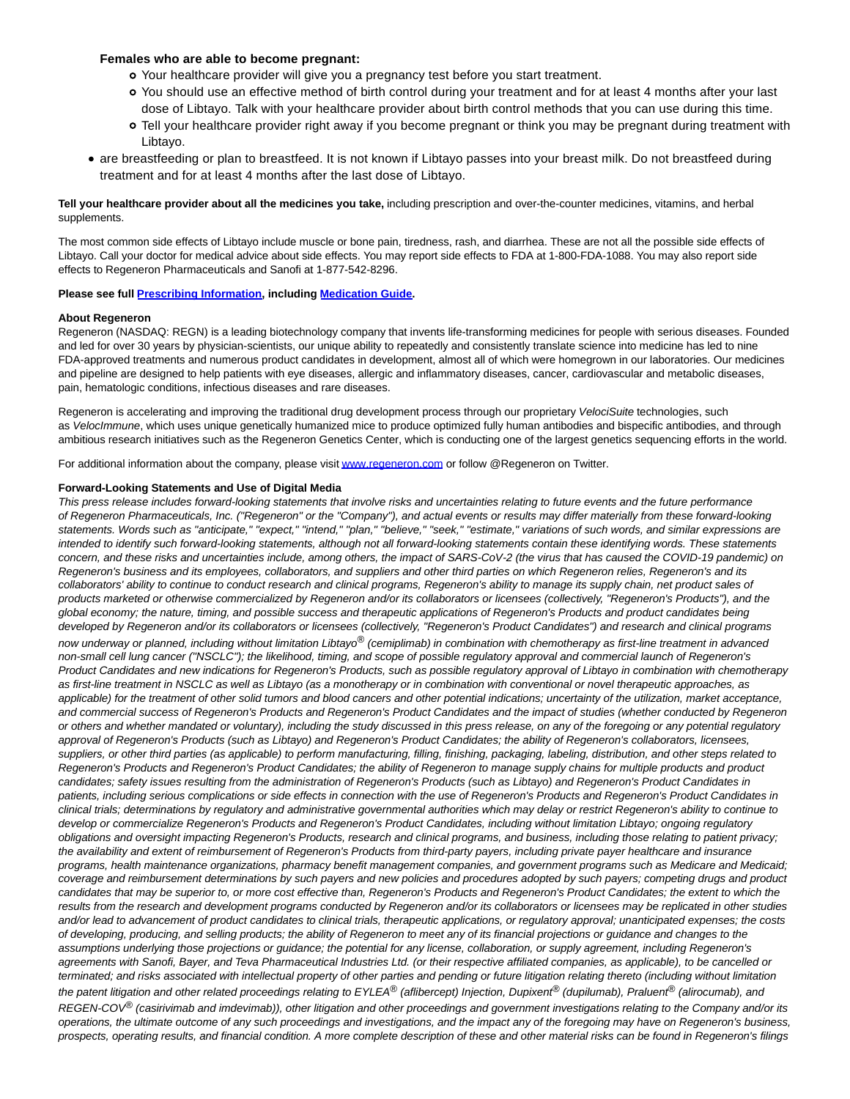## **Females who are able to become pregnant:**

- Your healthcare provider will give you a pregnancy test before you start treatment.
- You should use an effective method of birth control during your treatment and for at least 4 months after your last dose of Libtayo. Talk with your healthcare provider about birth control methods that you can use during this time.
- Tell your healthcare provider right away if you become pregnant or think you may be pregnant during treatment with Libtayo.
- are breastfeeding or plan to breastfeed. It is not known if Libtayo passes into your breast milk. Do not breastfeed during treatment and for at least 4 months after the last dose of Libtayo.

**Tell your healthcare provider about all the medicines you take,** including prescription and over-the-counter medicines, vitamins, and herbal supplements.

The most common side effects of Libtayo include muscle or bone pain, tiredness, rash, and diarrhea. These are not all the possible side effects of Libtayo. Call your doctor for medical advice about side effects. You may report side effects to FDA at 1-800-FDA-1088. You may also report side effects to Regeneron Pharmaceuticals and Sanofi at 1-877-542-8296.

#### **Please see full [Prescribing Information,](https://c212.net/c/link/?t=0&l=en&o=3417003-1&h=1997985402&u=https%3A%2F%2Fwww.regeneron.com%2Fsites%2Fdefault%2Ffiles%2FLibtayo_FPI.pdf&a=Prescribing+Information) including [Medication Guide.](https://c212.net/c/link/?t=0&l=en&o=3417003-1&h=1732695034&u=https%3A%2F%2Fwww.regeneron.com%2Fsites%2Fdefault%2Ffiles%2Fx1216(3)a.pdf&a=Medication+Guide)**

#### **About Regeneron**

Regeneron (NASDAQ: REGN) is a leading biotechnology company that invents life-transforming medicines for people with serious diseases. Founded and led for over 30 years by physician-scientists, our unique ability to repeatedly and consistently translate science into medicine has led to nine FDA-approved treatments and numerous product candidates in development, almost all of which were homegrown in our laboratories. Our medicines and pipeline are designed to help patients with eye diseases, allergic and inflammatory diseases, cancer, cardiovascular and metabolic diseases, pain, hematologic conditions, infectious diseases and rare diseases.

Regeneron is accelerating and improving the traditional drug development process through our proprietary VelociSuite technologies, such as VelocImmune, which uses unique genetically humanized mice to produce optimized fully human antibodies and bispecific antibodies, and through ambitious research initiatives such as the Regeneron Genetics Center, which is conducting one of the largest genetics sequencing efforts in the world.

For additional information about the company, please visi[t www.regeneron.com o](https://c212.net/c/link/?t=0&l=en&o=3417003-1&h=4211281992&u=https%3A%2F%2Fc212.net%2Fc%2Flink%2F%3Ft%3D0%26l%3Den%26o%3D3397793-1%26h%3D695290165%26u%3Dhttp%253A%252F%252Fwww.regeneron.com%252F%26a%3Dwww.regeneron.com&a=www.regeneron.com)r follow @Regeneron on Twitter.

## **Forward-Looking Statements and Use of Digital Media**

This press release includes forward-looking statements that involve risks and uncertainties relating to future events and the future performance of Regeneron Pharmaceuticals, Inc. ("Regeneron" or the "Company"), and actual events or results may differ materially from these forward-looking statements. Words such as "anticipate," "expect," "intend," "plan," "believe," "seek," "estimate," variations of such words, and similar expressions are intended to identify such forward-looking statements, although not all forward-looking statements contain these identifying words. These statements concern, and these risks and uncertainties include, among others, the impact of SARS-CoV-2 (the virus that has caused the COVID-19 pandemic) on Regeneron's business and its employees, collaborators, and suppliers and other third parties on which Regeneron relies, Regeneron's and its collaborators' ability to continue to conduct research and clinical programs, Regeneron's ability to manage its supply chain, net product sales of products marketed or otherwise commercialized by Regeneron and/or its collaborators or licensees (collectively, "Regeneron's Products"), and the global economy; the nature, timing, and possible success and therapeutic applications of Regeneron's Products and product candidates being developed by Regeneron and/or its collaborators or licensees (collectively, "Regeneron's Product Candidates") and research and clinical programs now underway or planned, including without limitation Libtayo® (cemiplimab) in combination with chemotherapy as first-line treatment in advanced non-small cell lung cancer ("NSCLC"); the likelihood, timing, and scope of possible regulatory approval and commercial launch of Regeneron's Product Candidates and new indications for Regeneron's Products, such as possible regulatory approval of Libtayo in combination with chemotherapy as first-line treatment in NSCLC as well as Libtayo (as a monotherapy or in combination with conventional or novel therapeutic approaches, as applicable) for the treatment of other solid tumors and blood cancers and other potential indications; uncertainty of the utilization, market acceptance, and commercial success of Regeneron's Products and Regeneron's Product Candidates and the impact of studies (whether conducted by Regeneron or others and whether mandated or voluntary), including the study discussed in this press release, on any of the foregoing or any potential regulatory approval of Regeneron's Products (such as Libtayo) and Regeneron's Product Candidates; the ability of Regeneron's collaborators, licensees, suppliers, or other third parties (as applicable) to perform manufacturing, filling, finishing, packaging, labeling, distribution, and other steps related to Regeneron's Products and Regeneron's Product Candidates; the ability of Regeneron to manage supply chains for multiple products and product candidates; safety issues resulting from the administration of Regeneron's Products (such as Libtayo) and Regeneron's Product Candidates in patients, including serious complications or side effects in connection with the use of Regeneron's Products and Regeneron's Product Candidates in clinical trials; determinations by regulatory and administrative governmental authorities which may delay or restrict Regeneron's ability to continue to develop or commercialize Regeneron's Products and Regeneron's Product Candidates, including without limitation Libtayo; ongoing regulatory obligations and oversight impacting Regeneron's Products, research and clinical programs, and business, including those relating to patient privacy; the availability and extent of reimbursement of Regeneron's Products from third-party payers, including private payer healthcare and insurance programs, health maintenance organizations, pharmacy benefit management companies, and government programs such as Medicare and Medicaid; coverage and reimbursement determinations by such payers and new policies and procedures adopted by such payers; competing drugs and product candidates that may be superior to, or more cost effective than, Regeneron's Products and Regeneron's Product Candidates; the extent to which the results from the research and development programs conducted by Regeneron and/or its collaborators or licensees may be replicated in other studies and/or lead to advancement of product candidates to clinical trials, therapeutic applications, or regulatory approval; unanticipated expenses; the costs of developing, producing, and selling products; the ability of Regeneron to meet any of its financial projections or guidance and changes to the assumptions underlying those projections or guidance; the potential for any license, collaboration, or supply agreement, including Regeneron's agreements with Sanofi, Bayer, and Teva Pharmaceutical Industries Ltd. (or their respective affiliated companies, as applicable), to be cancelled or terminated; and risks associated with intellectual property of other parties and pending or future litigation relating thereto (including without limitation the patent litigation and other related proceedings relating to EYLEA® (aflibercept) Injection, Dupixent<sup>®</sup> (dupilumab), Praluent<sup>®</sup> (alirocumab), and REGEN-COV<sup>®</sup> (casirivimab and imdevimab)), other litigation and other proceedings and government investigations relating to the Company and/or its operations, the ultimate outcome of any such proceedings and investigations, and the impact any of the foregoing may have on Regeneron's business, prospects, operating results, and financial condition. A more complete description of these and other material risks can be found in Regeneron's filings